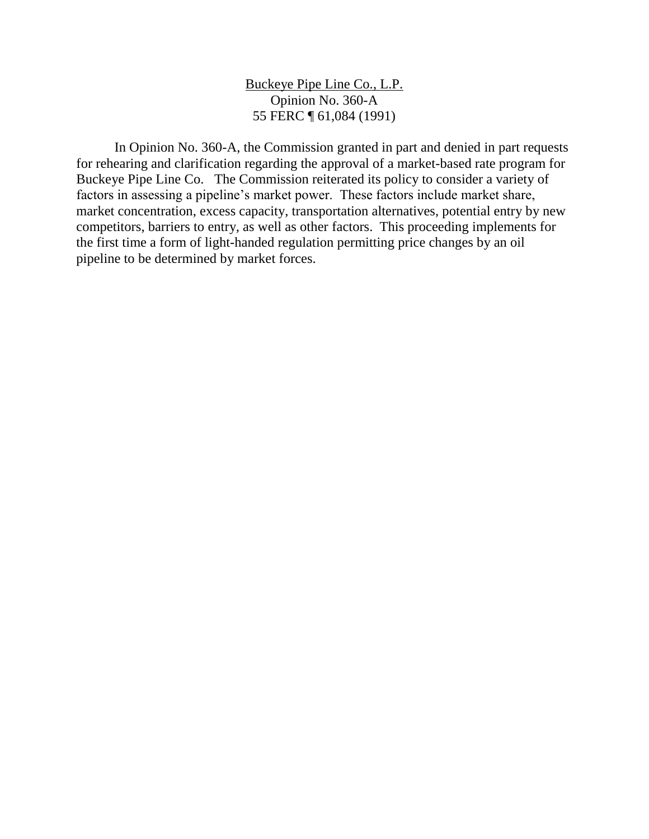Buckeye Pipe Line Co., L.P. Opinion No. 360-A 55 FERC ¶ 61,084 (1991)

In Opinion No. 360-A, the Commission granted in part and denied in part requests for rehearing and clarification regarding the approval of a market-based rate program for Buckeye Pipe Line Co. The Commission reiterated its policy to consider a variety of factors in assessing a pipeline's market power. These factors include market share, market concentration, excess capacity, transportation alternatives, potential entry by new competitors, barriers to entry, as well as other factors. This proceeding implements for the first time a form of light-handed regulation permitting price changes by an oil pipeline to be determined by market forces.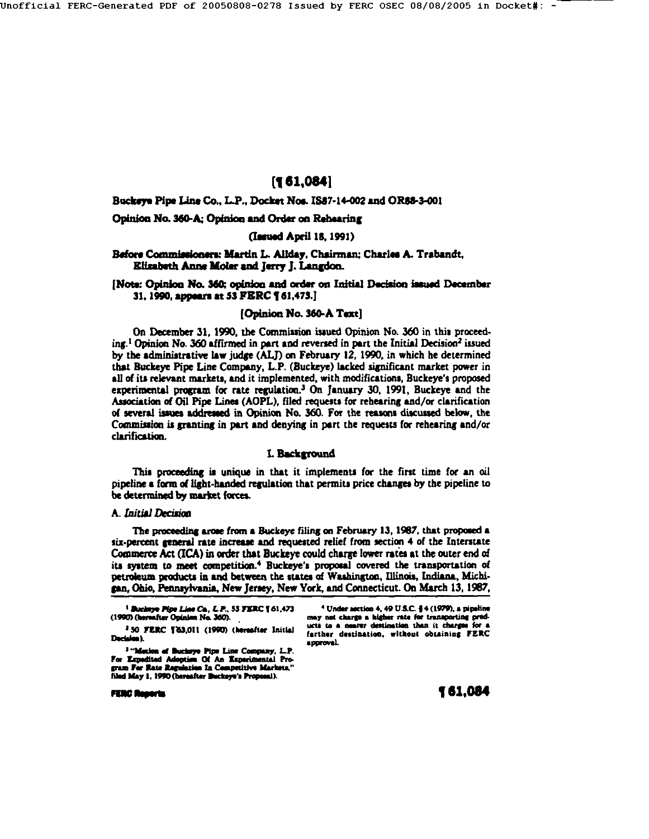Jnofflclal FERC-Generated PDF of 20050808-0278 Issued by FERC OSEC *08/08/2005* in Docket#: -

# **[1 61,004l**

Bucksys Pipe Line Co., L.P., Docket Noe. IS87-14-002 and ORSS-3-001

Opinion No. 360-A; Opinion and Order on Rehearing

## **(Issued April 18, 1991)**

Before Commissioners: Martin L. Allday, Chairman; Charles A. Trabandt, **Elizabeth Anne Moler and Jerry J. Langdon.** 

## [Note: Opinion No. 360; opinion and order on Initial Decision issued December **31,** 1990, appears at 53 FBRC **1 61,475.]**

## [Opinion No. 360-A Text]

On December 31, 1990, the Commission issued Opinion No. 360 in this proceed $ing<sup>1</sup>$  Opinion No. 360 affirmed in part and reversed in part the Initial Decision<sup>2</sup> issued by the administrative law judge (ALJ) on February 12, 1990, in which he determined that Buckeye Pipe Line Company, L.P. (Buckeye) lacked significant market power in all of its relevant markets, and it implemented, with modifications, Buckeye's proposed experimental program for rate regulation.<sup>3</sup> On January 30, 1991, Buckeye and the Association of Oil Pipe Lines (AOPL), filed requests for rehearing and/or clarification of several issues addressed in Opinion No. 360. For the reasons discussed below, the Commission is granting in part and denying in part the requests for rehearing and/or clarification.

## **L** Background

This proceeding is unique in that it implements for the first time for an oil pipeline a form of light-handed regulation that permits price changes by the pipeline to be determined by market forces.

## **A. Initial Decision**

The proceeding arose from a Buckeye filing on February 13, 1987, that proposed a six-percent general rate increase and requested relief from section 4 of the Interstate Commerce Act (ICA) in order that Buckeye could charge lower rates at the outer end of its system to meet competition.<sup>4</sup> Buckeye's proposal covered the transportation of petroleum products in and between the states of Washington, Illinois, Indiana, Michigan, Ohio, Pennsylvania, New Jersey, New York, and Connecticut. On March 13, 1987,

<sup>3</sup> "Mecion of Buchsye Pipe Line Company, L.P. For Expedited Adopties Of An Experimental Pro-<br>gram For Rate Regulation In Competitive Markets,'' filed May 1, 1990 (bereafter Buckeye's Proposal).

<sup>4</sup> Under section 4, 49 U.S.C. § 4 (1979), a pipeline may not charge a higher rate for transporting prodwits to a nearer destination than it charges for a farther destination, without obtaining FERC approval.

**PERC Reports** 

<sup>&</sup>lt;sup>1</sup> Buckeye Pipe Line Ca, L.P., 53 FERC 161,473 (1990) (hereafter Opinian No. 360).

<sup>&</sup>lt;sup>2</sup> 50 FERC ['63,011 (1990) (hereafter Initial Decision).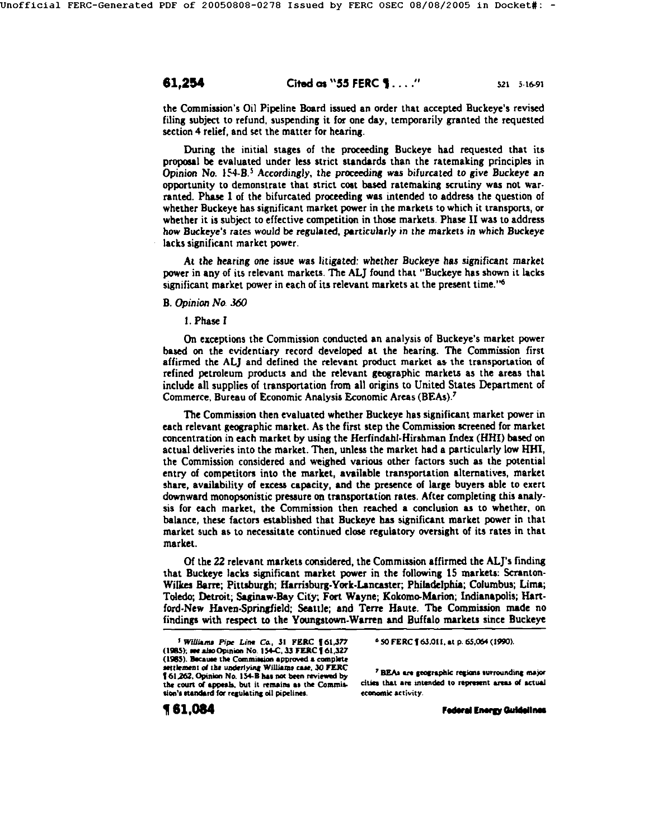the Commission's Oil Pipeline Board issued an order that accepted Buckeye's revised filing subject to refund, suspending it for one day, temporarily granted the requested section 4 relief, and set the matter for hearing.

During the initial stages of the proceeding Buckeye had requested that its proposal be evaluated under less strict standards than the ratemaking principles in Opinion No.  $154-B$ .<sup>5</sup> Accordingly, the proceeding was bifurcated to give Buckeye an opportunity to demonstrate that strict cost based ratemaking scrutiny was not warranted. Phase I of the bifurcated proceeding was intended to address the question of whether Buckeye has significant market power in the markets to which it transports, or whether it is subject to effective competition in thee markets. Phase II was to address how Buckeye's rates would be regulated, particularly in the markets in which Buckeye lacks significant market power.

At the hearing one issue was litigated: whether Buckeye has significant market power in any of its relevant markets. The ALl" found that "Buckeye has shown it lacks significant market power in each of its relevant markets at the present time." $6$ 

## B. Opinion No. 360

1. Phase I

On exceptions the Commission couducted an analysis of Buckeye's market power based on the evidentiary record developed at the hearing. The Commission first affirmed the ALJ and defined the relevant product market as the transportation of refined petroleum products and the relevant geographic markets as the areas that. include all supplies of transportation from all origins to United States Department of Commerce, Bureau of Economic Analysis Economic Areas (BEAs).<sup>7</sup>

The Commission then evaluated whether Buckeye has significant market power in each relevant geographic market. As the first step the Commission screened for market concentration in each market by using the Herfindahl-Hirshman Index (HHI) based ou actual deliveries into the market. Then, unless the market had a particularly low HHI, the Commission considered and weighed various other factors such as the potential entry of competitors into the market, available transportation alternatives, market share, availability of excess capacity, and the presence of large buyers able to exert downward monopsonistic presaure on transportation rates. After completing this anaiysis for each market, the Commission then reached a conclusion as to whether, on balance, these factors established that Buckeye has significant market power in that market such as to necessitate continued close regulatory oversight of its rates in that market.

Of the 22 relevant markets considered, the Commission affirmed the ALl's finding that Buckeye lacks significant market power in the following 15 markets: Scranton-Wilkes Barre; Pittsburgh; Harrisburg-York-Lancaster; Philadelphia; Columbus; Lima; Toledo; Detroit; Saginaw-Bay City;, Fort Wayne; Kokomo-Marion; Indianapolis; Hartford-New Haven-Springfield; Seattle; and Terre Haute. The Commission made no findings with respect to the Youngstown.Warren and Buffalo markets since Buckeye

**¶ 61,084** 

 $6$  50 FERC  $1$  63,011, at p. 65,064 (1990).

<sup>7</sup> BEAs are geographic regions surrounding major cities that are intended to represent areas of actual economic activity.

Federal Energy Guidelines

<sup>&</sup>lt;sup>5</sup> Williams Pipe Line Co., 31 FERC 161,377 (1985); see also Opinion No. 154-C, 33 FERC 161,327 (1985). Because the Commission approved a complete  $set$  the underlying Williams case, 30 FERC. | 61,262, Opinion No. 154-B has not been reviewed by the court of appeals, but it remains as the Commission's standard for regulating oil pipelines.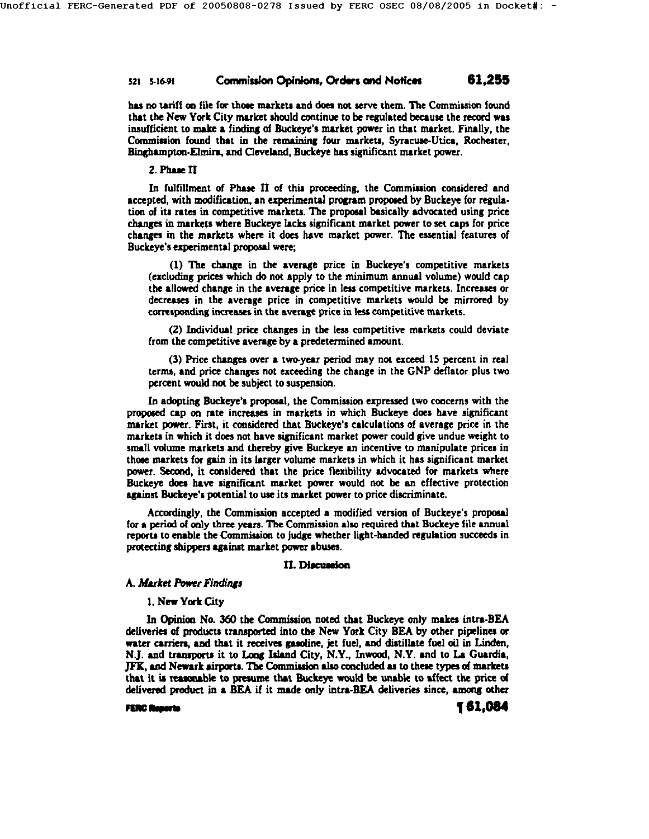# 521 5-16-91 **Commission Opinions, Orders and Notices** 61,255

has no tariff on file for those markets and does not serve them. The Commission found that the New York City market should continue to be regulated because the record was insufficient to make a finding of Buckeye's market power in that market. Finally, the Commission found that in the remaining four markets, Syracuse-Utica, Rochester, Binghampton-Elmira, and Cleveland, Buckeye has significant market power.

## 2. Phase II

In fulfillment of Phase II of this proceeding, the Commission considered and accepted, with modification, an experimental program proposed by Buckeye for regulation of its rates in competitive markets. The proposal basically advocated using price changes in markets where Buckeye lacks significant market power to set caps for price changes in the markets where it does have market power. The essential features of Buckeye's experimental proposal were;

(1) The change in the average price in Buckeye's competitive markets (excluding prices which do not apply to the minimum annual volume) would cap the allowed change in the average price in less competitive markets. Increases or decreases in the average price in competitive markets would be mirrored by corresponding increases in the average price in less competitive markets.

(2) Individual price changes in the less competitive markets could deviate from the competitive average by a predetermined amount.

(3) Price changes over a two-year period may not exceed 15 percent in real terms, and price changes not exceeding the change in the GNP deflator plus two percent would not be subject to suspension.

In adopting Buckeye's proposal, the Commission expressed two concerns with the proposed cap on rate increases in markets in which Buckeye does have significant market power. First, it considered that Buckeye's calculations of average price in the markets in which it does not have significant market power could give undue weight to small volume markets and thereby give Buckeye an incentive to manipulate prices in those markets for gain in its larger volume markets in which it has significant market power. Second, it considered that the price flexibility advocated for markets where Buckeye does have significant market power would not be an effective protection against Buckeye's potential to use its market power to price discriminate.

Accordingly, the Commission accepted a modified version of Buckeye's proposal for a period of only three years. The Commission also required that Buckeye file annual reports to enable the Commiseion to judge whether light-handed regulation succeeds in protecting shippers against market power abuses.

### II. Discussion

## A. Market Power Findings

## **1.** New York City

In Opinion No. 360 the Commission noted that Buckeye only makes intra-BEA deliveries of products transported into the New York City BE& by other pipelines or water carriers, and that it receives gasoline, jet fuel, and distillate fuel oil in Linden, N.J. and transports it to Long Island City, N.Y., Inwood, N.Y. and to La Guardia, JFK, and Newark airports. The Commission also concluded as to these types of markets that it is reasonable to presume that Buckeye would be unable to affect the price of delivered product in a BEA if it made only intra-BEA deliveries since, among other

matrix **matrix of the contract of the contract of the contract of the contract of the contract of the contract of the contract of the contract of the contract of the contract of the contract of the contract of the contract**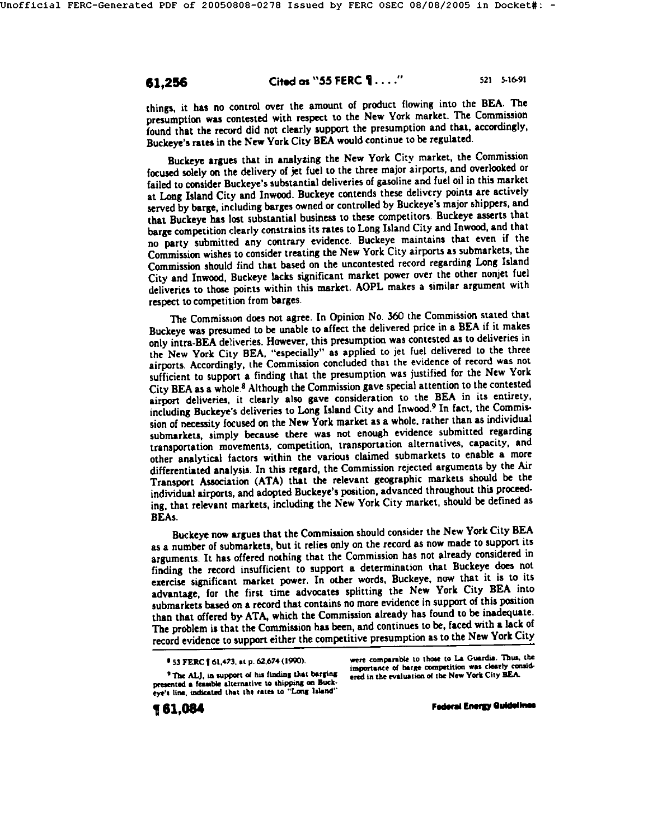things, it has no control over the amount of product flowing into the BEA. The presumption was contested with respect to the New York market. The Commission found that the record did not clearly support the presumption and that, accordingly, Buckeyc's rates in the New York City BEA would continue to be regulated.

Buckeye argues that in analyzing the New York City market, the Commission focused solely on the delivery of jet fuel to the three major airports, and overlooked or failed to consider Buckeye's substantial deliveries of gasoline and fuel oil in this market at Long Island City and Inwood. Buckeye contends these delivery points are actively served by barge, including barges owned or controlled by Buckeye's major shippers, and that Buckeye has lost substantial business to these competitors. Buckeye asserts that barge competition clearly constrains its rates to Long Island City and Inwood, and that no party submitted any contrary evidence. Buckeye maintains that even if the Commission wishes to consider treating the New York City airports as submarkets, the Commission should find that based on the uncontested record regarding Long Island City and Inwood, Buckeye lacks significant market power over the other nonjet fuel deliveries to those points within this market. AOPL makes a similar argument with respect to competition from barges.

The Commission does not agree. In Opinion No. 360 the Commission stated that Buckeye was presumed to be unable to affect the delivered price in a BEA if it makes only intra-BEA deliveries. However, this presumption was contested as to deliveries in the New York City BEA, "especially" as applied to jet fuel delivered to the three airports. Accordingly, the Commission concluded that the evidence of record was not sufficient to support a finding that the presumption was justified for the New York City BEA as a whole.<sup>8</sup> Although the Commission gave special attention to the contested airport deliveries, it clearly also gave consideration to the BEA in its entirety, including Buckeye's deliveries to Long Island City and Inwood. 9 In fact, the Commission of necessity focused on the New York market as a whole, rather than as individual submarkets, simply because there was not enough evidence submitted regarding transportation movements, competition, transportation alternatives, capacity, and other analytical factors within the various claimed submarkets to enable a more differentiated analysis. In this regard, the Commission rejected arguments by the Air Transport Association (ATA) that the relevant geographic markets should be the individual airports, and adopted Buckeye's position, advanced throughout this proceeding, that relevant markets, including the New York City market, should be defined as BEAs.

Buckeye now argues that the Commission should consider the New York City BEA as a number of submarkets, but it relies only on the record as now made to support its arguments. It has offered nothing that the Commission has not already considered in finding the record insufficient to support a determination that Buckeye does not exercise significant market power. In other words, Buckeye, now that it is to its advantage, for the first time advocates splitting the New York City BEA into submarkets based on a record that contains no more evidence in support of this position than that offered by' ATA, which the Commission already has found to be inadequate. The problem is that the Commission has been, and continues to be, faced with a lack of record evidence to support either the competitive presumption as to the New York City

 $^9$  The ALJ, in support of his finding that barging presented a feasible alternative to shipping on Buckeye's line, indicated that the rates to "Long Island"

were comparable to those to La Guardia. Thus, the importance of barge competition was clearly considered in the evaluation of the New York City BEA.

**Federal Energy Quidelines** 

<sup>&</sup>lt;sup>9</sup> 53 FERC 1 61,473, at p. 62,674 (1990).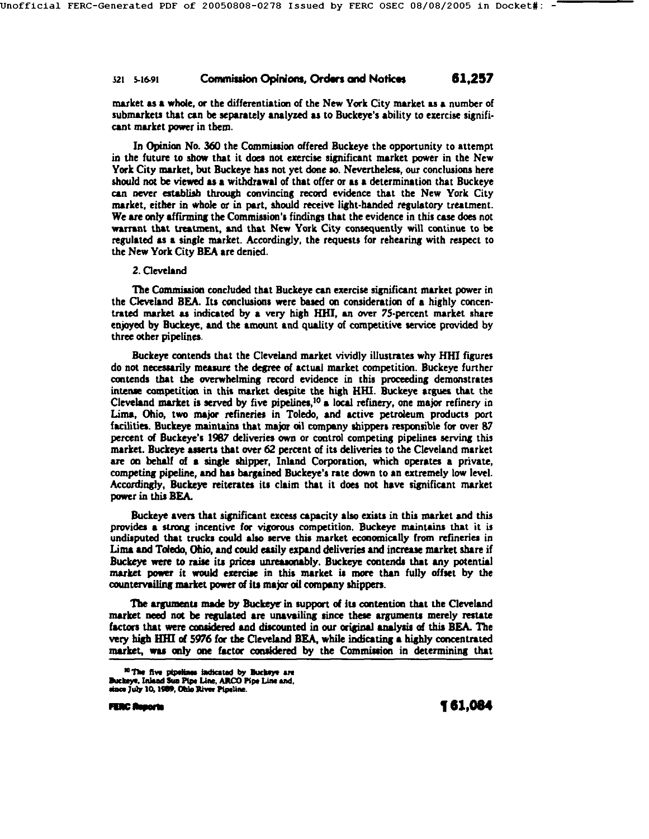## 521 5-16-91 **Op nlom, Ordws and Notlcm 61,257**

market as a whole, or the differentiation of the New York City market as a number of submarkets that can be separately analysed as to Buckeye's ability to exercise significant market power in them.

In Opinion No. 360 the Commission offered Buckeye the opportunity to attempt in the future to show that it does not exercise significant market power in the New York City market, but Buckeye has not yet done so. Nevertheless, our conclusions here should not be viewed as a withdrawal of that offer or as a determination that Buckeye can never establish through convincing record evidence that the New York City market, either in whole or in part, shonld receive light-handed regulatory treatment. We are ordy affirming the Commission's findings that the evidence in this case does not warrant that treatment, and that New York City consequently will continue to be regulated as a single market. Accordingly, the requests for rehearing with respect to the New York City BEA are denied.

## 2. Cleveland

The Commission concluded that Buckeye can exercise significant market power in the Cleveland BEA. Its conclusions were based on consideration of a highly concentrated market as indicated by a very high HHI, an over 75-percent market share enjoyed by Buckeye, and the amount and quality of competitive service provided by three other pipelines.

Buckeye contends that the Cleveland market vividly illustrates why HHI figures do not necessarily measure the degree of actual market competition. Buckeye further contends that the overwhelming record evidence in this proceeding demonstrates intense competition in this market despite the high HHI. Buckeye argues that the Cleveland market is served by five pipelines,<sup>10</sup> a local refinery, one major refinery in Lima, Ohio, two major refmeries in Toledo, and active petroleum products port facilities. Buckeye maintains that major oil company shippers responsible for over 87 percent of Buckeye's 1987 deliveries own or control competing pipelines serving this market. Buckeye asserts that over 62 percent of its deliveries to the Cleveland market are on behalf of a single shipper, Inland Corporation, which operates a private, competing pipeline, and has bargained Buckeye's rate down to an extremely low level. Accordingly, Buckeye reiterates its claim that it does not have significant market power in this BEA.

Buckeye avers that significant excess capacity also exists in this market and this provides a strong incentive for vigorous competition. Buckeye maintains that it is undisputed that trucks could also serve this market economically from refineries in Lima and Toledo, Ohio, and could easily expand deliveries and increase market share if Buckeye were to raise its prices unreasonably. Buckeye contends that any potential market power it would exercise in this market is more than fully offset by the countervailing market power of its major oil company shippers.

The arguments made by Buckeye in support of its contention that the Cleveland market need not be regulated are unavailing since these arguments merely restate factors that were considered and discounted in our original analysis of this BEA. The very high HHI of 5976 for the Cleveland BEA, while indicating a highly concentrated market, was only one factor considered by the Commission in determining that

**max Tenc Asports and**  $\blacksquare$  **1.084** 

<sup>&</sup>lt;sup>10</sup> The five pipelines indicated by Buckeye are Buckeye, Inland Sun Pipe Line, ARCO Pipe Line and, since July 10, 1989, Ohio River Pipeline.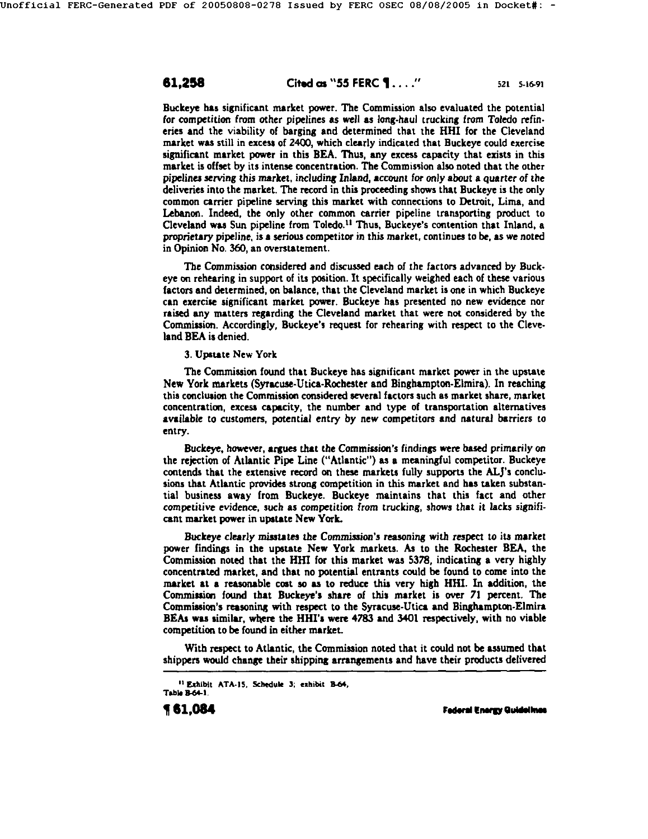## **61,258 Cited as ''55 FERC 1....''** 521 5-16-91

Buckeye has significant market power. The Commission also evaluated the potential for competition from other pipelines as well as *long.haul* trucking from Toledo refin. cries and the viability of barging and determined that the HHI for the Cleveland market was still in excess of 2400, which clearly indicated that Buckeye could exercise significant market power in this BEA. Thus, any excess capacity that exists in this market is offset by its intense concentration. The Commission also noted that the other pipelines serving this market, including Inland, *account* for only about a quarter of the deliveries into the market. The record in this proceeding shows that Buckeye is the only common carrier pipeline serving this market with connections to Detroit, Lima, and Lebanon. Indeed, the only other common carrier pipeline transporting product to Cleveland was Sun pipeline from Toledo.<sup>11</sup> Thus, Buckeye's contention that Inland, a proprietary pipeline, is a serious competitor in this market, continues to be, as we noted in Opinion No. 360, an overstatement.

The Commission considered and discussed each of the factors advanced by Buckeye on rehearing in support of its position. It specifically weighed each of these various factors and determined, on balance, that the Cleveland market is one in which Buckeye can exercise significant market powzr. Buckeye has presented no new evidence nor raised any matters regarding the Cleveland market that were not considered by the Commission. Accordingly, Buckeye's request for rehearing with respect to the Cleveland BEA is denied.

3. Upstate New York

The Commission found that Buckeye has significant market power in the upstate New York markets (Syracuse-Utica-Rochester and Binghampton-Elmira). In reaching this canciuaion the Commission considered several factors such as market share, market concentration, excess capacity, the number and type of transportation alternatives available to customers, potential entry by new competitors and natural barriers to entry.

Buckeye, however, argues that the Commission's findings were based primarily on the rejection of Atlantic Pipe Line ("Atlantic") as a meaningful competitor. Buckeye contends that the extensive record on these markets fully supports the ALJ's conclusions that Atlantic provides strong competition in this market and has taken substantial business away from Buckeye. Buckeye maintains that this fact and other competitive evidence, such as competition from trucking, shows that it lacks significant market power in upstate New York.

Buckeye clearly misstates the *Commission's reasoning with respect* to its market power findings in the upstate New York markets. As to the Rochester BEA, the Commission noted that the Hill for this market was 5378, indicating a very highly concentrated market, and that no potential entrants could be found to come into the market at a reasonable cost so as to reduce this very high HHI. In addition, the Commission found that Buckeye's share of this market is over 71 percent. The Commission's reasoning with respect to the Syracuse-Utica and Binghampton-Elmira BEAs was similar, where the HHI's were 4783 and 3401 respectively, with no viable competition to be found in either market.

With respect to Atlantic, the Commission noted that it could not be assumed that shippers would change their shipping arcangemonts and have their products delivered

**F** 61,084 Full . The example of the example of the end of the end of the end of the end of the end of the end of the end of the end of the end of the end of the end of the end of the end of the end of the end of the end o

<sup>&</sup>lt;sup>11</sup> Exhibit ATA-15, Schedule 3; exhibit B-64, Table B-64-1.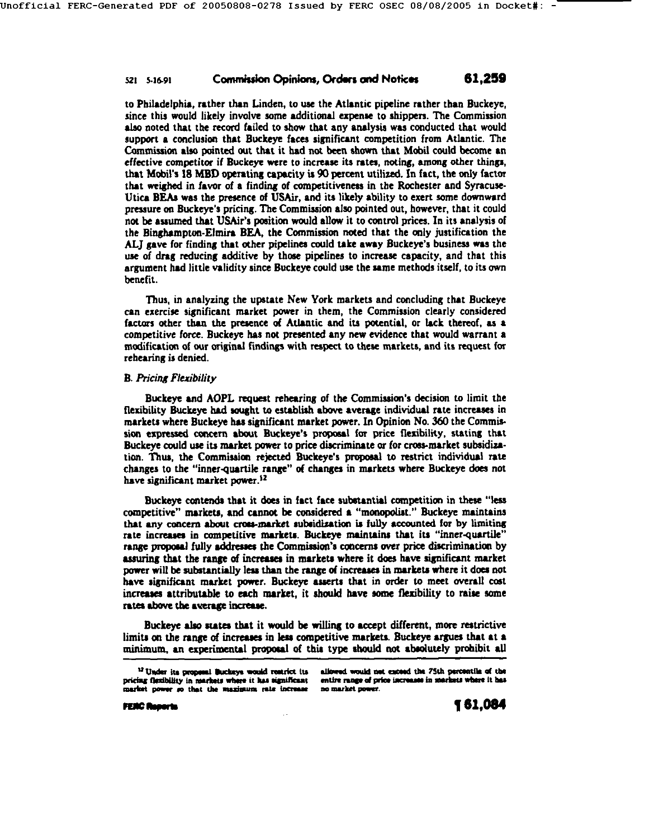## 521 5-16-91 **Commission Opinions, Orders and Notices** 61,259

to Philadelphia, rather than Linden, to use the Atlantic pipeline rather than Buckeye, since this would likely involve some additional expense to shippers. The Commission also noted that the record failed to show that any analysis was conducted that would support a conclusion that Buckeye faces significant competition from Atlantic. The Commission also pointed out that it had not been shown that Mobil could become an effective competitor if Buckeye wore to increase its rates, noting, among other things, that Mobil's 18 MBD operating capacity is 90 percent utilized. In fact, the only factor that weighed in favor of a finding of competitivenees in the Rochester and Syracuse-Utica BEAs was the presence of USAir, and its likely ability to exert some downward pressure on Buckeye's pricing. The Commission also pointed out, however, that it could not be assumed that USAir's position would allow it to control prices. In its analysis of the Binghampton-Elmira BEA, the Commission noted that the only justification the ALJ gave for finding that other pipelines conld take away Buckeye's business was the us¢ of drag reducing additive by those pipelines to increase capacity, and that this argument had little validity since Buckeye could use the same methods itself, to its own henefit.

Thus, in analyzing the upstate New York markets and concluding that Buckeye can exercise significant market power in them, the Commission clearly considered factors other than the presence of Atlantic and its potential, or lack thereof, as a competitive force. Buckeye has not presented any new evidence that would warrant a modification of our original findings with respect to these markets, and its request for rehearing is denied.

## **B. Pricing Flexibility**

Buckeye and AOPL request rehearing of the Commission's decision to limit the flexibility Buckeye had sought to establish above average individual rate increases in markets where Buckeye has significant market power. In Opinion No. 360 the Commis sion expressed concern about Buckeye's proposal for price flexibility, stating that Buckeye could use its market power to price discriminate or for cross-market subsidization. Thus, the Commission rejected Buckeye's proposal to restrict individual rate changes to the "inner-quartile range" of changes in markets where Buckeye does not have significant market power.<sup>12</sup>

Buckeye contends that it does in fact face substantial competition in these "less competitive" markets, and cannot be considered a "monopolist." Buckeye maintains that any concern about cross-market subsidization is fully accounted for by limiting rate increases in competitive markets. Buckeye maintains that its "inner-quartile" range proposal fully addresses the Commission's concerns over price discrimination by assuring that the range of increases in markets where it does have significant market power will be substantially less than the range of increases in markets where it does not have significant market power. Buckeye asserts that in order to meet overall cost increases attributable to each market, it should have some flexibility to raise some rates above the average increase.

Buckeye also states that it would be willing to accept different, more restrictive limits on the range of increases in less competitive markets. Buckeye argues that at a minimum, an experimental proposal of this type should not absolutely prohibit all

allowed would not exceed the 7Sth percentile of the entire range of price increases in markets where it has no market power.

<sup>&</sup>lt;sup>12</sup> Under its proposal Buckeys would restrict its pricing flexibility in markets where it has significant market power so that the maximum rate increase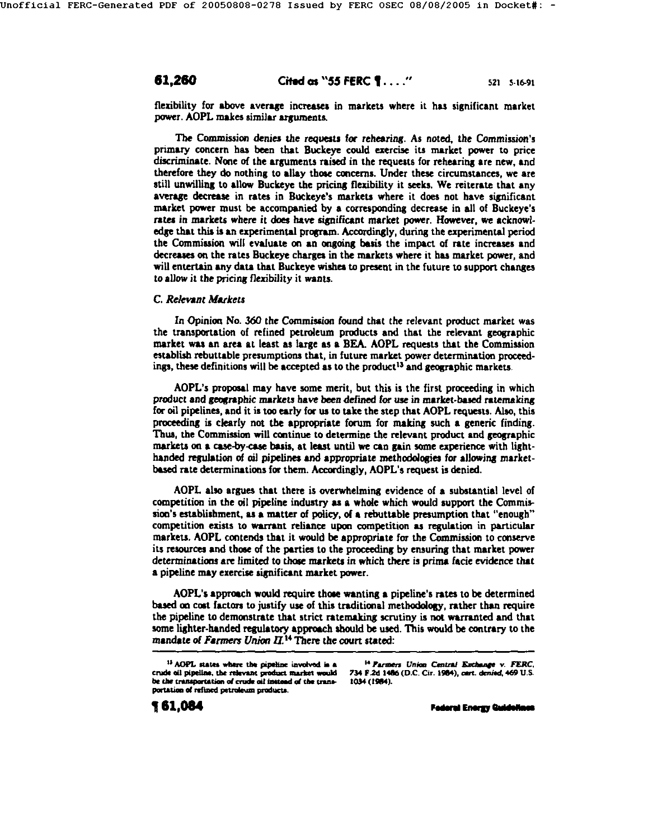# **61,260 Cited as "55 FERC 1...."** 521 5-16-91

flexibility for above average increases in markets where it has significant market power. AOPL makes similar arguments.

The Commission denies the requests for rehearing. As noted, the Commission's primary concern has been that Buckeye could exercise its market power to price discriminate. None of the arguments raised in the requests for rehearing are new, and therefore they do nothing to allay those concerns. Under these circumstances, we are still unwilling to allow Buckeye the pricing flexibility it seeks. We reiterate that any average decrease in rates in Buckeye's markets where it does not have significant market power must be accompanied by a corresponding decrease in all of Buckeye's rates in markets where it does have significant market power. However, we acknowledge that this is an experimental progrmn. Accordingly, during the experimental period the Commission will evaluate on an ongoing basis the impact of rate increases and decreases on the rates Buckeye charges in the markets where it has market power, and will entertain any data that Buckeye wishes to present in the future to support changes to allow it the pricing flexibility it wants.

## *C. Relevant Markets*

In Opinion No. 360 the Commission found that the relevant product market was the transportation of refined petroleum products and that the relevant geographic market was an area at least as large as a BEA. AOPL requests that the Commission establish rebuttable presumptions that, in future market power determination proceedings, these definitions will be accepted as to the product<sup>13</sup> and geographic markets.

AOPL's propasal may have some merit, but this is the first proceeding in which product and geographic markets have been defined for use in market-based ratemaking for oil pipelines, and it is too early for us to take the step that AOPL requests. Also, this proceeding is clearly not the appropriate forum for making such a generic finding. Thus, the Commission will continue to determine the relevant product and geographic markets on a case-by-case basis, at least until we can gain some experience with lighthanded regulation of oil pipelines and appropriate methodologies for allowing marketbased rate determinations for them. Accordingly, AOPL's request is denied.

AOPL also argues that there is overwhelming evidence of a substantial level of competition in the oil pipeline industry as a whole which would support the Commission's establishment, as a matter of policy, of a rebuttable presumption that "enough" competition exists to warrant reliance upon competition as regulation in particular markets. AOPL contends that it would be appropriate for the Commission to conserve its resources and those of the parties to the proceeding by ensuring that market power determinations are limited to those markets in which there is prima facie evidence that a pipeline may exercise significant market power.

AOPL's approach would require those wanting a pipeline's rates to be determined based on cost factors to justify use of this traditional methodology, rather than require the pipeline to demonstrate that strict ratemaking scrutiny is not warranted and that some lighter-handed regulatory approach should be used. This would be contrary to the mandate of Farmers Union  $II$ .<sup>14</sup> There the court stated:

<sup>14</sup> Parmers Union Central Exchange v. FERC, 734 F.2d 1486 (D.C. Cir. 1984), cart. denied, 469 U.S. **t0~ (15e4).** 

**Federal Energy Quidelines** 

<sup>&</sup>lt;sup>13</sup> AOPL states where the pipeline involved is a crude oil pipeline, the relevant product market would be the transportation of crude oil instead of the transportation of refined petroleum products.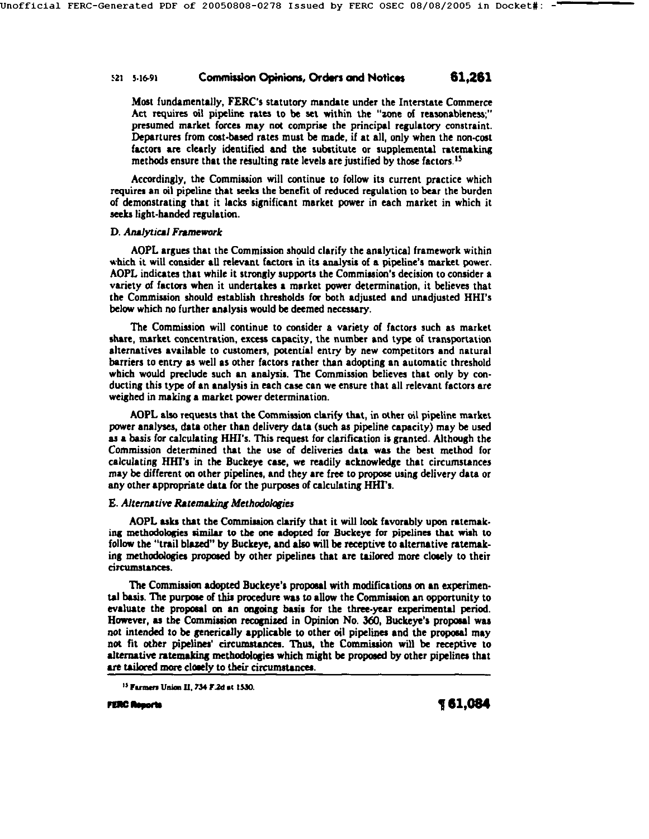# **.~21 5-16-91 CcMmmi.lon O~i~s, Ordws and hlotlc,s 61,261**

Most fundamentally, FERC's statutory mandate under the Interstate Commerce Act requires oil pipeline rates to be set within the "zone of reasonableness;" presumed market forces may not comprise the principal regulatory constraint. Departures from cost-based rates must be made, if at all, only when the non-cost factors are clearly identified and the substitute or supplemental ratemaking methods ensure that the resulting rate levels are justified by those factors. Is

Accordingly, the Commission will continue to follow its current practice which requires an oil pipeline that seeks the benefit of reduced regulation to bear the borden of demonstrating that it lacks significant market power in each market in which it seeks light-handed regulation.

### **D. Analytical Framework**

AOPL argues that the Commission should clarify the analytical framework within which it will consider all relevant factors in its analysis of a pipeline's market power. AOPL indicates that while it strongly supports the Commission's decision to consider a variety of factors when it undertakes a market power determination, it believes that the Commission should establish thresholds for both adjusted and unadjusted HHI's below which no further analysis would be deemed necessary.

The Commission will continue to consider a variety of factors such as market share, market concentration, excess capacity, the number and type of transportation alternatives available to customers, potential entry by new competitors and natural harriers to entry as well as other factors rather than adopting an automatic threshold which would preclude such an analysis. The Commission believes that only by conducting *this* type of an analysis in each case can we ensure that all relevant factors are weighed in making a market power determination.

AOPL also requests that the Commission clarify that, in other oil pipeline market power analyses, data other than delivery data (such as pipeline capacity) may be used as a basis for calculating HHI's. This request for clarification is granted. Although the Commission determined that the use of deliveries data was the best method for calculating HHrs in the Buckeye case, we readily acknowledge that circumstances may be different on other pipelines, and they are free to propose using delivery data or any other appropriate data for the purposes of calculating HHI's.

### E. Alternative Ratemaking Methodologies

AOPL asks that the Commlasion clarify that it will look favorably upon ratemaking methodologies similar to the one adopted for Buckeye for pipelines that wish to follow the "trail blazed" by Buckeye, and also will be receptive to alternative ratemaking methodologies proposed by other pipelines that are tailored more closely to their circumstances.

The Commission adopted Buckeye's proposal with modifications on an experimental basis. The purpose of this procedure was to allow the Commission an opportunity to evaluate the proposal on an ongoing basis for the three-year experimental period. However, as the Commission recognized in Opinion No. 360, Buckeye's proposal was not intended to be generically applicable to other oil pipelines and the proposal may not fit other pipelines' circumstances. Thus, the Commission will be receptive to alternative ratemaking methodologies which might be proposed by other pipelines that are tailored more closely to their circumstances.

<sup>&</sup>lt;sup>15</sup> Farmers Union II, 734 F.2d at 1530.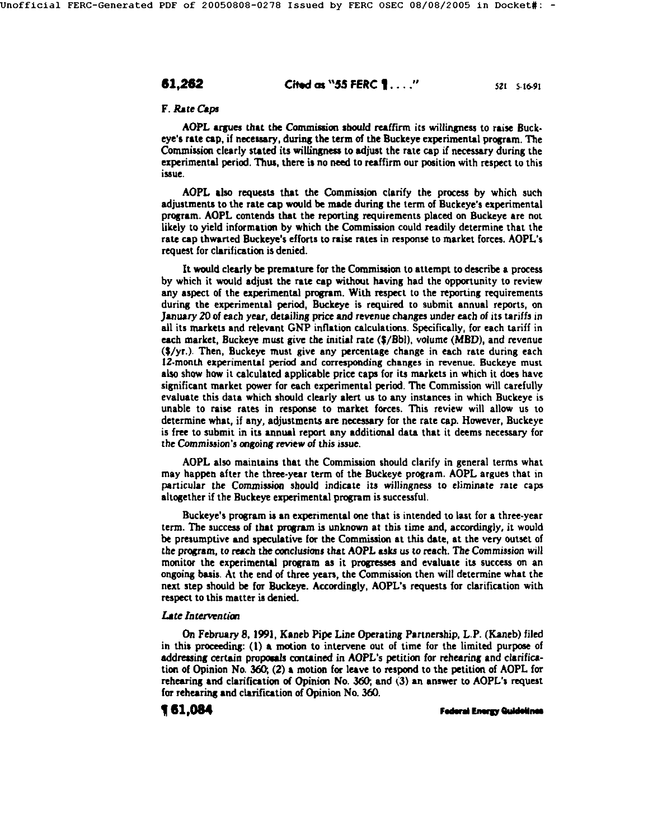# **61,262 Cited as "55 FERC 1...."** 521 51691

### F. Rate Caps

AOPL argues that the Commission should reaffirm its willingness to raise Buckeye's rate cap, if necessary, during the term of the Buckeye experimental program. The *Commission* clearly stated its willingness to adjust the rate cap if necessary during the experimental period. Thus, there is no need to reaffirm our poeition with respect to this issue.

AOPL aho requests that the Commission clarify the process by which such adjustments to the rate cap would be made during the term of Buckeye's experimental program. AOPL contends that the reporting requirements placed on Buckeye are not likely to yield information by which the Commission could readily determine that the rate cap thwarted Buckeye's efforts to raise rates in response to market forces. AOPL's request for clarification is denied.

It would clearly be premature for the Commission to attempt to describe a process by which it would adjust the rate cap withont having had the opportunity to review any aspect of the experimental program. With respect to the reporting requirements during the experimental period, Buckeye is required to submit annual reports, on January 20 of each year, detailing price and revenue changes under each of its tariffs in all its markets and relevant GNP inflation calculations. Specificany, for each tariff in each market, Buckeye must give the initial rate (\$/Bbl), volume (MBD), and revenue (S/yr.). Then, Buckeye must give any percentage change in each rate during each I2-month experimental period and corresponding changes in revenue. Buckeye must also show how it calculated applicable price caps for its markets in which it does have significant market power for each experimental period. The Commission will carefully evaluate this data which should clearly alert us to any instances in which Buckeye is unable to raise rates in response to market forces. This review will allow us to determine what, if any, adjustments are necessary for the rate cap. However, Buckeye is free to submit in its annual report any additional data that it deems necessary for the Commission's ongoing review of this issue.

AOPL also maintains that the Commission should clarify in general terms what may happen after the three-year term of the Buckeye program. AOPL argues that in particular the Commission should indicate its willingness to eliminate rate caps altogether if the Buckeye experimental program is successful.

Buckeye's program is an experimental one that is intended to last for a three-year term. The success of that program is unknown at this time and, accordingly, it would be presumptive and speculative for the Commission at this date, at the very outset of the program, to reach the conclusions that AOPL asks us to reach. The Commission will monitor the experimental program as it progresses and evaluate its success on an ongoing basis. At the end of three years, the Commission then will determine what the next step should be for Buckeye. Accordingly, AOPL's requests for clarification with respect to this matter is denied.

### *L~te Intervention*

On February 8, 1991, Kaneb Pipe Line Operating Parmership, L.P. (Kaneb) filed in this proceeding:  $(1)$  a motion to intervene out of time for the limited purpose of addressing certain proposals contained in AOPL's petition for rehearing and clarification of Opinion No. 360; (2) a motion for leave to respond to the petition of AOPL for rehearing and clarification of Opinion No. 360; and (3) an answer to AOPL's request for rehearing and clarification of Opinion No. 360.

**Federal Energy Quidelines**